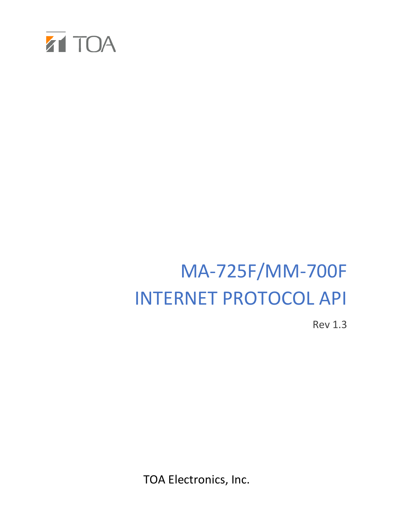

# MA-725F/MM-700F INTERNET PROTOCOL API

Rev 1.3

TOA Electronics, Inc.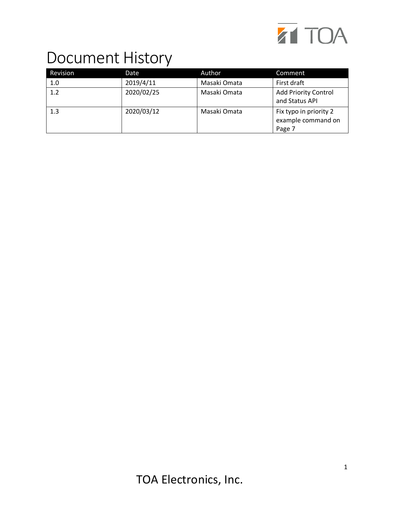

## Document History

| Revision | Date       | Author       | Comment                                                |
|----------|------------|--------------|--------------------------------------------------------|
| 1.0      | 2019/4/11  | Masaki Omata | First draft                                            |
| 1.2      | 2020/02/25 | Masaki Omata | <b>Add Priority Control</b><br>and Status API          |
| 1.3      | 2020/03/12 | Masaki Omata | Fix typo in priority 2<br>example command on<br>Page 7 |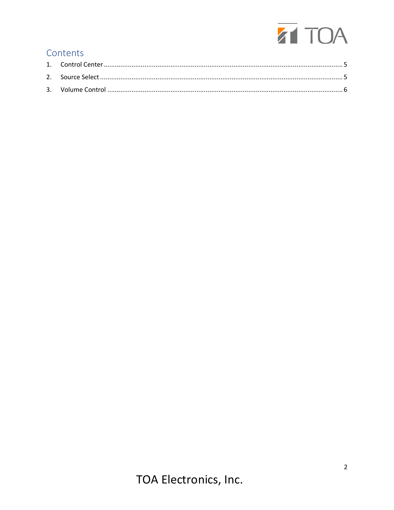

## Contents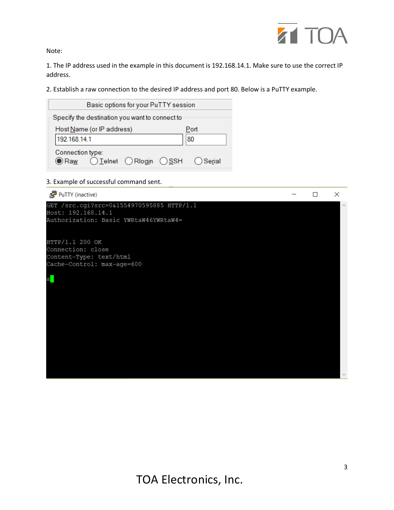

Note:

1. The IP address used in the example in this document is 192.168.14.1. Make sure to use the correct IP address.

2. Establish a raw connection to the desired IP address and port 80. Below is a PuTTY example.



3. Example of successful command sent.

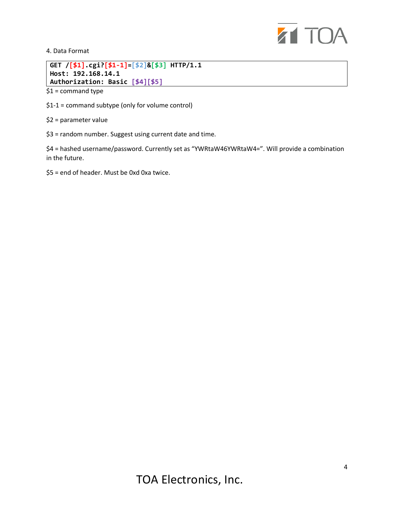

4. Data Format

#### **GET /[\$1].cgi?[\$1-1]=[\$2]&[\$3] HTTP/1.1 Host: 192.168.14.1 Authorization: Basic [\$4][\$5]**

 $$1 =$  command type

\$1-1 = command subtype (only for volume control)

\$2 = parameter value

\$3 = random number. Suggest using current date and time.

\$4 = hashed username/password. Currently set as "YWRtaW46YWRtaW4=". Will provide a combination in the future.

\$5 = end of header. Must be 0xd 0xa twice.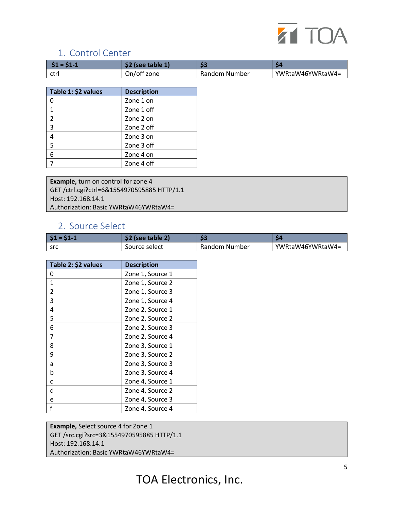

## <span id="page-5-0"></span>1. Control Center

| . .  | (see table 1) | $\sim$<br>-      |                  |
|------|---------------|------------------|------------------|
| ctrl | On/off zone   | Number<br>Random | YWRtaW46YWRtaW4= |

| Table 1: \$2 values     | <b>Description</b> |
|-------------------------|--------------------|
|                         | Zone 1 on          |
|                         | Zone 1 off         |
| $\mathfrak{p}$          | Zone 2 on          |
| $\overline{\mathbf{3}}$ | Zone 2 off         |
|                         | Zone 3 on          |
| 5                       | Zone 3 off         |
| 6                       | Zone 4 on          |
|                         | Zone 4 off         |

**Example,** turn on control for zone 4 GET /ctrl.cgi?ctrl=6&1554970595885 HTTP/1.1 Host: 192.168.14.1 Authorization: Basic YWRtaW46YWRtaW4=

### <span id="page-5-1"></span>2. Source Select

| $\frac{1}{2}$ \$1 = \$1-1 | \$2<br>l (see table 2) | . .<br>-      |                  |
|---------------------------|------------------------|---------------|------------------|
| -src                      | Source select          | Random Number | YWRtaW46YWRtaW4= |

| Table 2: \$2 values | <b>Description</b> |
|---------------------|--------------------|
| 0                   | Zone 1, Source 1   |
| $\mathbf{1}$        | Zone 1, Source 2   |
| $\overline{2}$      | Zone 1, Source 3   |
| 3                   | Zone 1, Source 4   |
| 4                   | Zone 2, Source 1   |
| 5                   | Zone 2, Source 2   |
| 6                   | Zone 2, Source 3   |
| 7                   | Zone 2, Source 4   |
| 8                   | Zone 3, Source 1   |
| 9                   | Zone 3, Source 2   |
| a                   | Zone 3, Source 3   |
| b                   | Zone 3, Source 4   |
| C                   | Zone 4, Source 1   |
| d                   | Zone 4, Source 2   |
| e                   | Zone 4, Source 3   |
| $\mathbf f$         | Zone 4, Source 4   |

**Example,** Select source 4 for Zone 1 GET /src.cgi?src=3&1554970595885 HTTP/1.1 Host: 192.168.14.1 Authorization: Basic YWRtaW46YWRtaW4=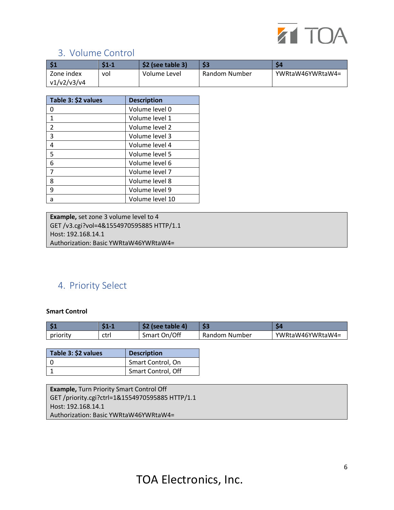

## <span id="page-6-0"></span>3. Volume Control

| $\sqrt{51}$ | C1<br>9 L – L | $$2$ (see table 3) | \$3           |                  |
|-------------|---------------|--------------------|---------------|------------------|
| Zone index  | vol           | Volume Level       | Random Number | YWRtaW46YWRtaW4= |
| v1/v2/v3/v4 |               |                    |               |                  |

| Table 3: \$2 values | <b>Description</b> |
|---------------------|--------------------|
| 0                   | Volume level 0     |
| $\mathbf{1}$        | Volume level 1     |
| $\overline{2}$      | Volume level 2     |
| 3                   | Volume level 3     |
| 4                   | Volume level 4     |
| 5                   | Volume level 5     |
| 6                   | Volume level 6     |
| 7                   | Volume level 7     |
| 8                   | Volume level 8     |
| 9                   | Volume level 9     |
| a                   | Volume level 10    |

**Example,** set zone 3 volume level to 4 GET /v3.cgi?vol=4&1554970595885 HTTP/1.1 Host: 192.168.14.1 Authorization: Basic YWRtaW46YWRtaW4=

## 4. Priority Select

#### **Smart Control**

| $\vert$ \$1 | . .  | (see table 4)<br>32 | $\sim$<br>55  |                  |
|-------------|------|---------------------|---------------|------------------|
| priority    | ctrl | Smart On/Off        | Random Number | YWRtaW46YWRtaW4= |

| Table 3: \$2 values | <b>Description</b> |  |
|---------------------|--------------------|--|
|                     | Smart Control, On  |  |
|                     | Smart Control, Off |  |

**Example,** Turn Priority Smart Control Off GET /priority.cgi?ctrl=1&1554970595885 HTTP/1.1 Host: 192.168.14.1 Authorization: Basic YWRtaW46YWRtaW4=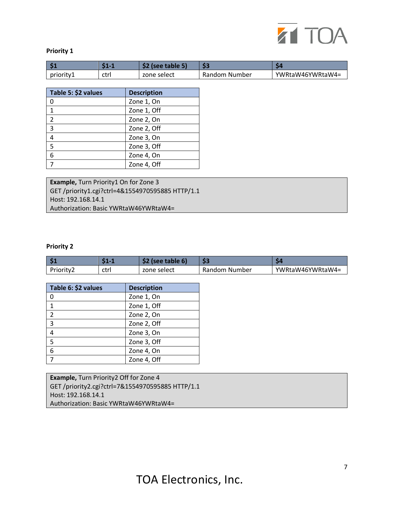

#### **Priority 1**

|           | . .  | . .<br>(see table 5)<br>37 | . .<br>53     |                  |
|-----------|------|----------------------------|---------------|------------------|
| priority1 | ctrl | zone select                | Random Number | YWRtaW46YWRtaW4= |

| Table 5: \$2 values     | <b>Description</b> |
|-------------------------|--------------------|
| U                       | Zone 1, On         |
| 1                       | Zone 1, Off        |
| $\overline{\mathbf{c}}$ | Zone 2, On         |
| 3                       | Zone 2, Off        |
|                         | Zone 3, On         |
| 5                       | Zone 3, Off        |
| 6                       | Zone 4, On         |
|                         | Zone 4, Off        |

**Example,** Turn Priority1 On for Zone 3 GET /priority1.cgi?ctrl=4&1554970595885 HTTP/1.1 Host: 192.168.14.1 Authorization: Basic YWRtaW46YWRtaW4=

#### **Priority 2**

| 1 S 1     |      | : (see table 6) |               |                  |
|-----------|------|-----------------|---------------|------------------|
| Priority∠ | ctri | zone select     | Random Number | YWRtaW46YWRtaW4= |

| Table 6: \$2 values | <b>Description</b> |
|---------------------|--------------------|
| U                   | Zone 1, On         |
| 1                   | Zone 1, Off        |
| $\overline{2}$      | Zone 2, On         |
| 3                   | Zone 2, Off        |
| 4                   | Zone 3, On         |
| 5                   | Zone 3, Off        |
| 6                   | Zone 4, On         |
|                     | Zone 4, Off        |

**Example,** Turn Priority2 Off for Zone 4 GET /priority2.cgi?ctrl=7&1554970595885 HTTP/1.1 Host: 192.168.14.1 Authorization: Basic YWRtaW46YWRtaW4=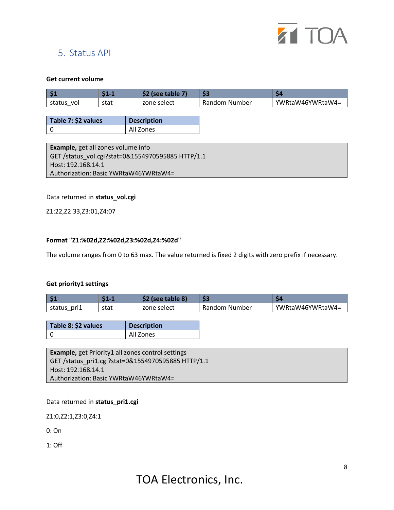

## 5. Status API

#### **Get current volume**

| l 64<br>.     | $\sim$ | table<br>isee ' | $\sim$<br>55     |                  |
|---------------|--------|-----------------|------------------|------------------|
| status<br>vol | stat   | zone select     | Number<br>Random | YWRtaW46YWRtaW4= |

| Table 7: \$2 values | <b>Description</b> |  |
|---------------------|--------------------|--|
|                     | All Zones          |  |

**Example,** get all zones volume info GET /status\_vol.cgi?stat=0&1554970595885 HTTP/1.1 Host: 192.168.14.1 Authorization: Basic YWRtaW46YWRtaW4=

#### Data returned in **status\_vol.cgi**

Z1:22,Z2:33,Z3:01,Z4:07

#### **Format "Z1:%02d,Z2:%02d,Z3:%02d,Z4:%02d"**

The volume ranges from 0 to 63 max. The value returned is fixed 2 digits with zero prefix if necessary.

#### **Get priority1 settings**

| 1 de<br>. .    | . .  | . .<br>(see table 8) | S3               |                  |
|----------------|------|----------------------|------------------|------------------|
| status<br>pri1 | stat | zone select          | Random<br>Number | YWRtaW46YWRtaW4= |

| Table 8: \$2 values | <b>Description</b> |  |
|---------------------|--------------------|--|
|                     | All Zones          |  |

**Example,** get Priority1 all zones control settings GET /status\_pri1.cgi?stat=0&1554970595885 HTTP/1.1 Host: 192.168.14.1 Authorization: Basic YWRtaW46YWRtaW4=

Data returned in **status\_pri1.cgi**

Z1:0,Z2:1,Z3:0,Z4:1

0: On

1: Off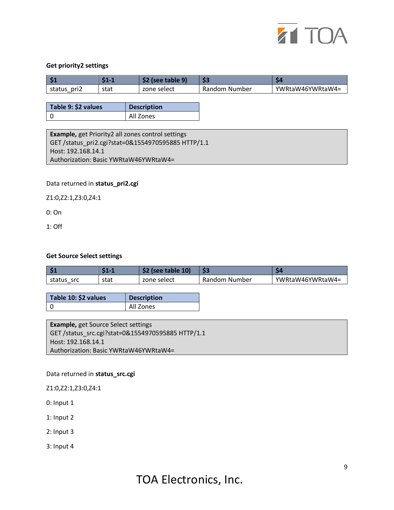

#### **Get priority2 settings**

|                | c.   | . .<br>$\mathbf{q}$<br>(see table) | $\sim$<br>55       |                  |
|----------------|------|------------------------------------|--------------------|------------------|
| status<br>pri2 | stat | zone select                        | Random<br>، Number | YWRtaW46YWRtaW4= |

| Table 9: \$2 values | <b>Description</b> |  |
|---------------------|--------------------|--|
|                     | All Zones          |  |

**Example,** get Priority2 all zones control settings GET /status\_pri2.cgi?stat=0&1554970595885 HTTP/1.1 Host: 192.168.14.1 Authorization: Basic YWRtaW46YWRtaW4=

Data returned in **status\_pri2.cgi**

Z1:0,Z2:1,Z3:0,Z4:1

0: On

1: Off

#### **Get Source Select settings**

| 1 de<br>.     | . .  | . .<br><b>10)</b><br>table.<br>ser | \$3              |                  |
|---------------|------|------------------------------------|------------------|------------------|
| src<br>status | stat | zone select                        | Random<br>Number | YWRtaW46YWRtaW4= |

| Table 10: \$2 values | <b>Description</b> |
|----------------------|--------------------|
|                      | All Zones          |

**Example,** get Source Select settings GET /status\_src.cgi?stat=0&1554970595885 HTTP/1.1 Host: 192.168.14.1 Authorization: Basic YWRtaW46YWRtaW4=

Data returned in **status\_src.cgi**

Z1:0,Z2:1,Z3:0,Z4:1

0: Input 1

1: Input 2

2: Input 3

3: Input 4